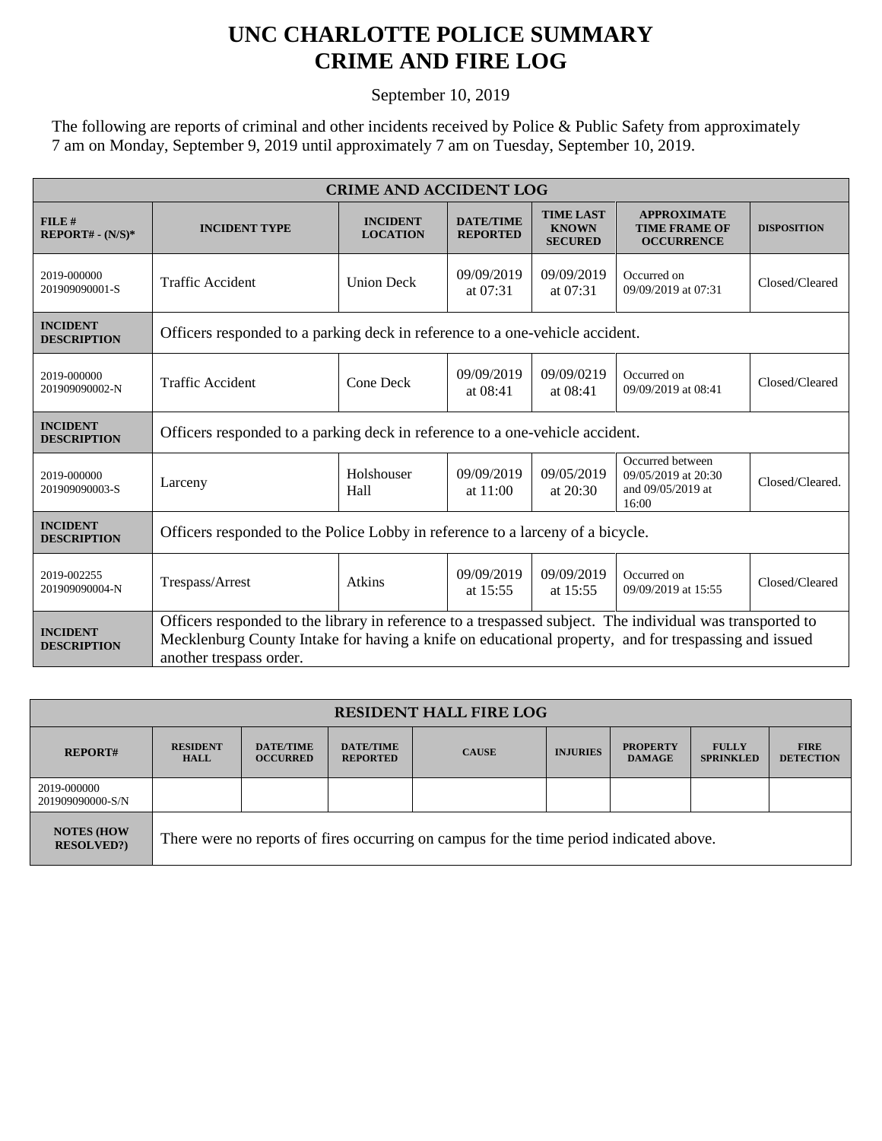## **UNC CHARLOTTE POLICE SUMMARY CRIME AND FIRE LOG**

September 10, 2019

The following are reports of criminal and other incidents received by Police & Public Safety from approximately 7 am on Monday, September 9, 2019 until approximately 7 am on Tuesday, September 10, 2019.

| <b>CRIME AND ACCIDENT LOG</b>         |                                                                                                                                                                                                                                              |                                    |                                     |                                                    |                                                                       |                    |  |
|---------------------------------------|----------------------------------------------------------------------------------------------------------------------------------------------------------------------------------------------------------------------------------------------|------------------------------------|-------------------------------------|----------------------------------------------------|-----------------------------------------------------------------------|--------------------|--|
| FILE#<br>$REPORT# - (N/S)*$           | <b>INCIDENT TYPE</b>                                                                                                                                                                                                                         | <b>INCIDENT</b><br><b>LOCATION</b> | <b>DATE/TIME</b><br><b>REPORTED</b> | <b>TIME LAST</b><br><b>KNOWN</b><br><b>SECURED</b> | <b>APPROXIMATE</b><br><b>TIME FRAME OF</b><br><b>OCCURRENCE</b>       | <b>DISPOSITION</b> |  |
| 2019-000000<br>201909090001-S         | <b>Traffic Accident</b>                                                                                                                                                                                                                      | <b>Union Deck</b>                  | 09/09/2019<br>at 07:31              | 09/09/2019<br>at $07:31$                           | Occurred on<br>09/09/2019 at 07:31                                    | Closed/Cleared     |  |
| <b>INCIDENT</b><br><b>DESCRIPTION</b> | Officers responded to a parking deck in reference to a one-vehicle accident.                                                                                                                                                                 |                                    |                                     |                                                    |                                                                       |                    |  |
| 2019-000000<br>201909090002-N         | <b>Traffic Accident</b>                                                                                                                                                                                                                      | Cone Deck                          | 09/09/2019<br>at 08:41              | 09/09/0219<br>at $08:41$                           | Occurred on<br>09/09/2019 at 08:41                                    | Closed/Cleared     |  |
| <b>INCIDENT</b><br><b>DESCRIPTION</b> | Officers responded to a parking deck in reference to a one-vehicle accident.                                                                                                                                                                 |                                    |                                     |                                                    |                                                                       |                    |  |
| 2019-000000<br>201909090003-S         | Larceny                                                                                                                                                                                                                                      | Holshouser<br>Hall                 | 09/09/2019<br>at 11:00              | 09/05/2019<br>at 20:30                             | Occurred between<br>09/05/2019 at 20:30<br>and 09/05/2019 at<br>16:00 | Closed/Cleared.    |  |
| <b>INCIDENT</b><br><b>DESCRIPTION</b> | Officers responded to the Police Lobby in reference to a larceny of a bicycle.                                                                                                                                                               |                                    |                                     |                                                    |                                                                       |                    |  |
| 2019-002255<br>201909090004-N         | Trespass/Arrest                                                                                                                                                                                                                              | Atkins                             | 09/09/2019<br>at 15:55              | 09/09/2019<br>at $15:55$                           | Occurred on<br>09/09/2019 at 15:55                                    | Closed/Cleared     |  |
| <b>INCIDENT</b><br><b>DESCRIPTION</b> | Officers responded to the library in reference to a trespassed subject. The individual was transported to<br>Mecklenburg County Intake for having a knife on educational property, and for trespassing and issued<br>another trespass order. |                                    |                                     |                                                    |                                                                       |                    |  |

| <b>RESIDENT HALL FIRE LOG</b>         |                                                                                         |                                     |                                     |              |                 |                                  |                                  |                                 |
|---------------------------------------|-----------------------------------------------------------------------------------------|-------------------------------------|-------------------------------------|--------------|-----------------|----------------------------------|----------------------------------|---------------------------------|
| <b>REPORT#</b>                        | <b>RESIDENT</b><br><b>HALL</b>                                                          | <b>DATE/TIME</b><br><b>OCCURRED</b> | <b>DATE/TIME</b><br><b>REPORTED</b> | <b>CAUSE</b> | <b>INJURIES</b> | <b>PROPERTY</b><br><b>DAMAGE</b> | <b>FULLY</b><br><b>SPRINKLED</b> | <b>FIRE</b><br><b>DETECTION</b> |
| 2019-000000<br>201909090000-S/N       |                                                                                         |                                     |                                     |              |                 |                                  |                                  |                                 |
| <b>NOTES (HOW</b><br><b>RESOLVED?</b> | There were no reports of fires occurring on campus for the time period indicated above. |                                     |                                     |              |                 |                                  |                                  |                                 |